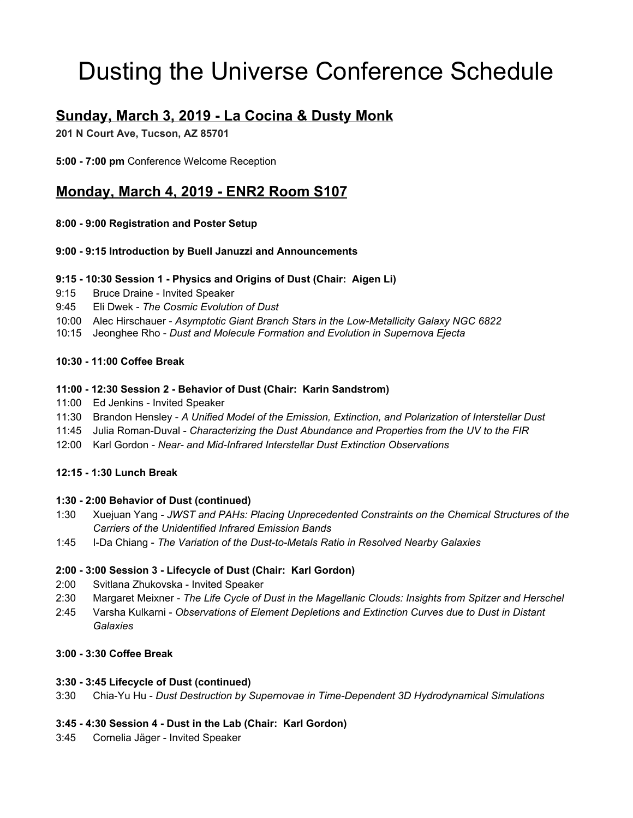# Dusting the Universe Conference Schedule

# **Sunday, March 3, 2019 - La Cocina & Dusty Monk**

**201 N Court Ave, Tucson, AZ 85701**

**5:00 - 7:00 pm** Conference Welcome Reception

# **Monday, March 4, 2019 - ENR2 Room S107**

#### **8:00 - 9:00 Registration and Poster Setup**

#### **9:00 - 9:15 Introduction by Buell Januzzi and Announcements**

#### **9:15 - 10:30 Session 1 - Physics and Origins of Dust (Chair: Aigen Li)**

- 9:15 Bruce Draine Invited Speaker
- 9:45 Eli Dwek *The Cosmic Evolution of Dust*
- 10:00 Alec Hirschauer *Asymptotic Giant Branch Stars in the Low-Metallicity Galaxy NGC 6822*
- 10:15 Jeonghee Rho *Dust and Molecule Formation and Evolution in Supernova Ejecta*

#### **10:30 - 11:00 Coffee Break**

#### **11:00 - 12:30 Session 2 - Behavior of Dust (Chair: Karin Sandstrom)**

- 11:00 Ed Jenkins Invited Speaker
- 11:30 Brandon Hensley *A Unified Model of the Emission, Extinction, and Polarization of Interstellar Dust*
- 11:45 Julia Roman-Duval *Characterizing the Dust Abundance and Properties from the UV to the FIR*
- 12:00 Karl Gordon *Near- and Mid-Infrared Interstellar Dust Extinction Observations*

#### **12:15 - 1:30 Lunch Break**

#### **1:30 - 2:00 Behavior of Dust (continued)**

- 1:30 Xuejuan Yang *JWST and PAHs: Placing Unprecedented Constraints on the Chemical Structures of the Carriers of the Unidentified Infrared Emission Bands*
- 1:45 I-Da Chiang *The Variation of the Dust-to-Metals Ratio in Resolved Nearby Galaxies*

## **2:00 - 3:00 Session 3 - Lifecycle of Dust (Chair: Karl Gordon)**

- 2:00 Svitlana Zhukovska Invited Speaker
- 2:30 Margaret Meixner *The Life Cycle of Dust in the Magellanic Clouds: Insights from Spitzer and Herschel*
- 2:45 Varsha Kulkarni *Observations of Element Depletions and Extinction Curves due to Dust in Distant Galaxies*

## **3:00 - 3:30 Coffee Break**

#### **3:30 - 3:45 Lifecycle of Dust (continued)**

3:30 Chia-Yu Hu - *Dust Destruction by Supernovae in Time-Dependent 3D Hydrodynamical Simulations*

## **3:45 - 4:30 Session 4 - Dust in the Lab (Chair: Karl Gordon)**

3:45 Cornelia Jäger - Invited Speaker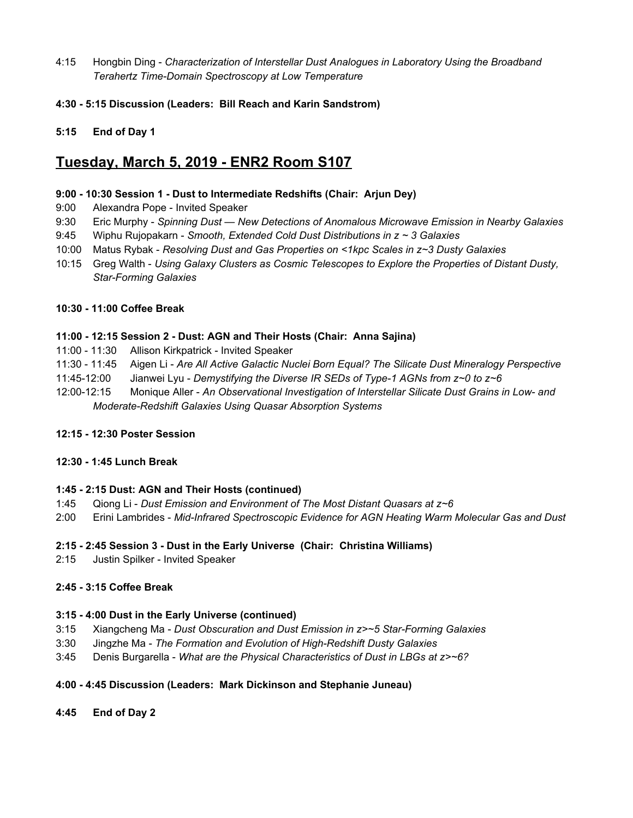- 4:15 Hongbin Ding *Characterization of Interstellar Dust Analogues in Laboratory Using the Broadband Terahertz Time-Domain Spectroscopy at Low Temperature*
- **4:30 - 5:15 Discussion (Leaders: Bill Reach and Karin Sandstrom)**
- **5:15 End of Day 1**

## **Tuesday, March 5, 2019 - ENR2 Room S107**

#### **9:00 - 10:30 Session 1 - Dust to Intermediate Redshifts (Chair: Arjun Dey)**

- 9:00 Alexandra Pope Invited Speaker
- 9:30 Eric Murphy *Spinning Dust — New Detections of Anomalous Microwave Emission in Nearby Galaxies*
- 9:45 Wiphu Rujopakarn *Smooth, Extended Cold Dust Distributions in z ~ 3 Galaxies*
- 10:00 Matus Rybak *Resolving Dust and Gas Properties on <1kpc Scales in z~3 Dusty Galaxies*
- 10:15 Greg Walth *Using Galaxy Clusters as Cosmic Telescopes to Explore the Properties of Distant Dusty, Star-Forming Galaxies*

#### **10:30 - 11:00 Coffee Break**

#### **11:00 - 12:15 Session 2 - Dust: AGN and Their Hosts (Chair: Anna Sajina)**

- 11:00 11:30 Allison Kirkpatrick Invited Speaker
- 11:30 11:45 Aigen Li *Are All Active Galactic Nuclei Born Equal? The Silicate Dust Mineralogy Perspective*
- 11:45-12:00 Jianwei Lyu *Demystifying the Diverse IR SEDs of Type-1 AGNs from z~0 to z~6*
- 12:00-12:15 Monique Aller *An Observational Investigation of Interstellar Silicate Dust Grains in Low- and Moderate-Redshift Galaxies Using Quasar Absorption Systems*

#### **12:15 - 12:30 Poster Session**

#### **12:30 - 1:45 Lunch Break**

#### **1:45 - 2:15 Dust: AGN and Their Hosts (continued)**

- 1:45 Qiong Li *Dust Emission and Environment of The Most Distant Quasars at z~6*
- 2:00 Erini Lambrides *Mid-Infrared Spectroscopic Evidence for AGN Heating Warm Molecular Gas and Dust*

#### **2:15 - 2:45 Session 3 - Dust in the Early Universe (Chair: Christina Williams)**

2:15 Justin Spilker - Invited Speaker

#### **2:45 - 3:15 Coffee Break**

#### **3:15 - 4:00 Dust in the Early Universe (continued)**

- 3:15 Xiangcheng Ma *Dust Obscuration and Dust Emission in z>~5 Star-Forming Galaxies*
- 3:30 Jingzhe Ma *The Formation and Evolution of High-Redshift Dusty Galaxies*
- 3:45 Denis Burgarella *What are the Physical Characteristics of Dust in LBGs at z>~6?*

## **4:00 - 4:45 Discussion (Leaders: Mark Dickinson and Stephanie Juneau)**

**4:45 End of Day 2**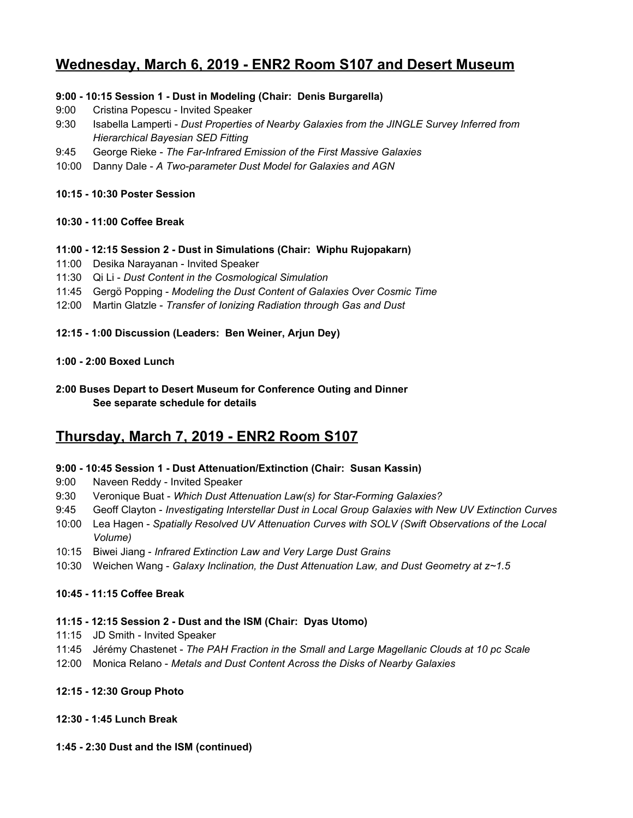## **Wednesday, March 6, 2019 - ENR2 Room S107 and Desert Museum**

#### **9:00 - 10:15 Session 1 - Dust in Modeling (Chair: Denis Burgarella)**

- 9:00 Cristina Popescu Invited Speaker
- 9:30 Isabella Lamperti *Dust Properties of Nearby Galaxies from the JINGLE Survey Inferred from Hierarchical Bayesian SED Fitting*
- 9:45 George Rieke *The Far-Infrared Emission of the First Massive Galaxies*
- 10:00 Danny Dale *A Two-parameter Dust Model for Galaxies and AGN*

#### **10:15 - 10:30 Poster Session**

#### **10:30 - 11:00 Coffee Break**

#### **11:00 - 12:15 Session 2 - Dust in Simulations (Chair: Wiphu Rujopakarn)**

- 11:00 Desika Narayanan Invited Speaker
- 11:30 Qi Li *Dust Content in the Cosmological Simulation*
- 11:45 Gergö Popping *Modeling the Dust Content of Galaxies Over Cosmic Time*
- 12:00 Martin Glatzle *Transfer of Ionizing Radiation through Gas and Dust*

#### **12:15 - 1:00 Discussion (Leaders: Ben Weiner, Arjun Dey)**

#### **1:00 - 2:00 Boxed Lunch**

**2:00 Buses Depart to Desert Museum for Conference Outing and Dinner See separate schedule for details**

# **Thursday, March 7, 2019 - ENR2 Room S107**

#### **9:00 - 10:45 Session 1 - Dust Attenuation/Extinction (Chair: Susan Kassin)**

- 9:00 Naveen Reddy Invited Speaker
- 9:30 Veronique Buat *Which Dust Attenuation Law(s) for Star-Forming Galaxies?*
- 9:45 Geoff Clayton *Investigating Interstellar Dust in Local Group Galaxies with New UV Extinction Curves*
- 10:00 Lea Hagen *Spatially Resolved UV Attenuation Curves with SOLV (Swift Observations of the Local Volume)*
- 10:15 Biwei Jiang *Infrared Extinction Law and Very Large Dust Grains*
- 10:30 Weichen Wang *Galaxy Inclination, the Dust Attenuation Law, and Dust Geometry at z~1.5*

#### **10:45 - 11:15 Coffee Break**

#### **11:15 - 12:15 Session 2 - Dust and the ISM (Chair: Dyas Utomo)**

- 11:15 JD Smith Invited Speaker
- 11:45 Jérémy Chastenet *The PAH Fraction in the Small and Large Magellanic Clouds at 10 pc Scale*
- 12:00 Monica Relano *Metals and Dust Content Across the Disks of Nearby Galaxies*

#### **12:15 - 12:30 Group Photo**

## **12:30 - 1:45 Lunch Break**

#### **1:45 - 2:30 Dust and the ISM (continued)**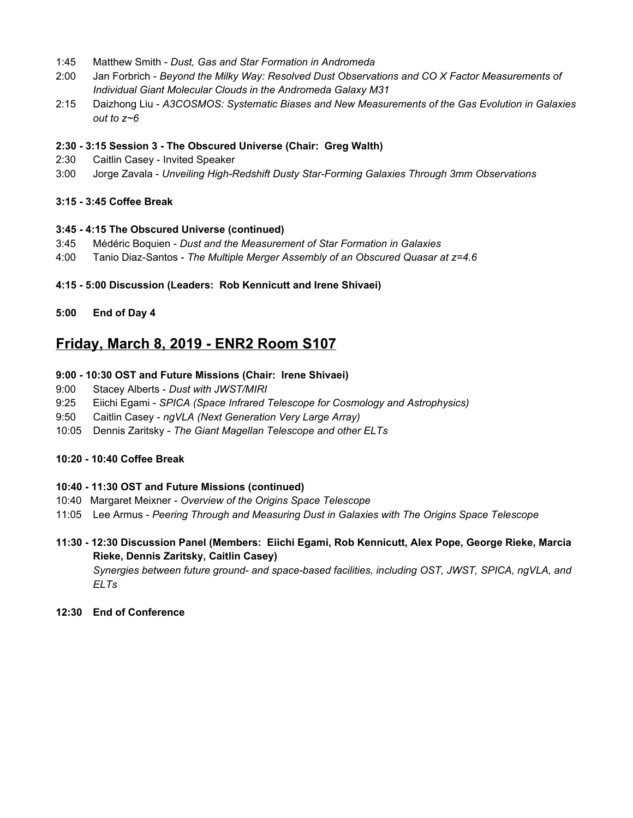- 1:45 Matthew Smith *Dust, Gas and Star Formation in Andromeda*
- 2:00 Jan Forbrich *Beyond the Milky Way: Resolved Dust Observations and CO X Factor Measurements of Individual Giant Molecular Clouds in the Andromeda Galaxy M31*
- 2:15 Daizhong Liu *A3COSMOS: Systematic Biases and New Measurements of the Gas Evolution in Galaxies out to z~6*

#### **2:30 - 3:15 Session 3 - The Obscured Universe (Chair: Greg Walth)**

- 2:30 Caitlin Casey Invited Speaker
- 3:00 Jorge Zavala *Unveiling High-Redshift Dusty Star-Forming Galaxies Through 3mm Observations*

#### **3:15 - 3:45 Coffee Break**

#### **3:45 - 4:15 The Obscured Universe (continued)**

- 3:45 Médéric Boquien *Dust and the Measurement of Star Formation in Galaxies*
- 4:00 Tanio Diaz-Santos *The Multiple Merger Assembly of an Obscured Quasar at z=4.6*

#### **4:15 - 5:00 Discussion (Leaders: Rob Kennicutt and Irene Shivaei)**

#### **5:00 End of Day 4**

## **Friday, March 8, 2019 - ENR2 Room S107**

#### **9:00 - 10:30 OST and Future Missions (Chair: Irene Shivaei)**

- 9:00 Stacey Alberts *Dust with JWST/MIRI*
- 9:25 Eiichi Egami *SPICA (Space Infrared Telescope for Cosmology and Astrophysics)*
- 9:50 Caitlin Casey *ngVLA (Next Generation Very Large Array)*
- 10:05 Dennis Zaritsky *The Giant Magellan Telescope and other ELTs*

#### **10:20 - 10:40 Coffee Break**

#### **10:40 - 11:30 OST and Future Missions (continued)**

- 10:40 Margaret Meixner *Overview of the Origins Space Telescope*
- 11:05 Lee Armus *Peering Through and Measuring Dust in Galaxies with The Origins Space Telescope*
- **11:30 - 12:30 Discussion Panel (Members: Eiichi Egami, Rob Kennicutt, Alex Pope, George Rieke, Marcia Rieke, Dennis Zaritsky, Caitlin Casey)** *Synergies between future ground- and space-based facilities, including OST, JWST, SPICA, ngVLA, and ELTs*
- **12:30 End of Conference**